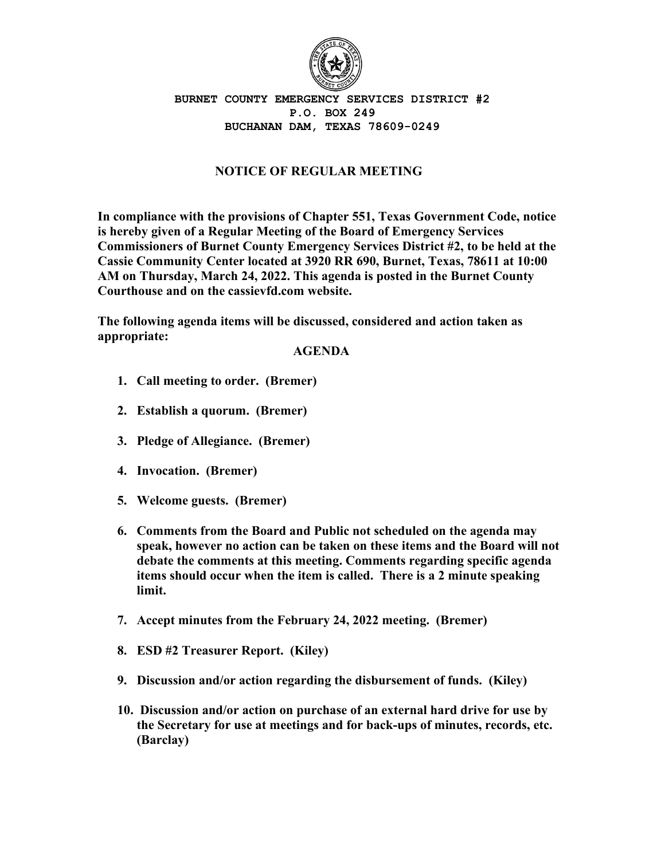

## **BURNET COUNTY EMERGENCY SERVICES DISTRICT #2 P.O. BOX 249 BUCHANAN DAM, TEXAS 78609-0249**

## **NOTICE OF REGULAR MEETING**

**In compliance with the provisions of Chapter 551, Texas Government Code, notice is hereby given of a Regular Meeting of the Board of Emergency Services Commissioners of Burnet County Emergency Services District #2, to be held at the Cassie Community Center located at 3920 RR 690, Burnet, Texas, 78611 at 10:00 AM on Thursday, March 24, 2022. This agenda is posted in the Burnet County Courthouse and on the cassievfd.com website.**

**The following agenda items will be discussed, considered and action taken as appropriate:**

## **AGENDA**

- **1. Call meeting to order. (Bremer)**
- **2. Establish a quorum. (Bremer)**
- **3. Pledge of Allegiance. (Bremer)**
- **4. Invocation. (Bremer)**
- **5. Welcome guests. (Bremer)**
- **6. Comments from the Board and Public not scheduled on the agenda may speak, however no action can be taken on these items and the Board will not debate the comments at this meeting. Comments regarding specific agenda items should occur when the item is called. There is a 2 minute speaking limit.**
- **7. Accept minutes from the February 24, 2022 meeting. (Bremer)**
- **8. ESD #2 Treasurer Report. (Kiley)**
- **9. Discussion and/or action regarding the disbursement of funds. (Kiley)**
- **10. Discussion and/or action on purchase of an external hard drive for use by the Secretary for use at meetings and for back-ups of minutes, records, etc. (Barclay)**